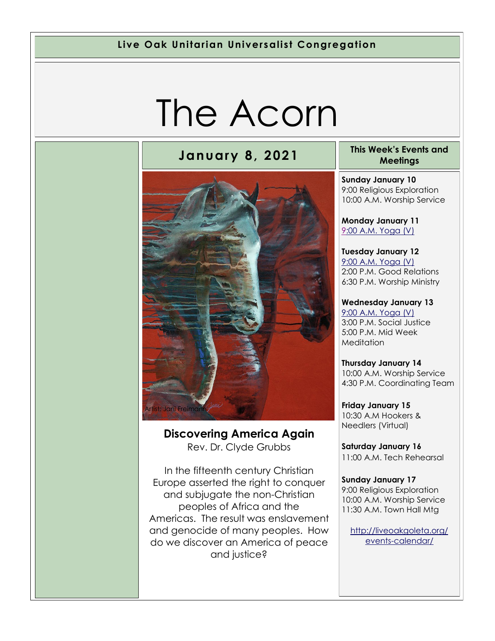#### **Live Oak Unitarian Universalist Congregation**

# The Acorn



#### **Discovering America Again** Rev. Dr. Clyde Grubbs

In the fifteenth century Christian Europe asserted the right to conquer and subjugate the non-Christian peoples of Africa and the Americas. The result was enslavement and genocide of many peoples. How do we discover an America of peace and justice?

#### **January 8, 2021 This Week's Events and Meetings**

**Sunday January 10** 9:00 Religious Exploration 10:00 A.M. Worship Service

**Monday January 11** [9:](https://us02web.zoom.us/meeting/register/tZ0pc-6qrTwqH9WUfmrB_nZu0MWqJ8CyS3Uw)[00 A.M. Yoga \(V\)](https://us02web.zoom.us/j/86278199291?pwd=WUh1MFJyVXNVOTIyQ1NmanJoSmNXQT09)

**Tuesday January 12** [9:00 A.M. Yoga \(V\)](https://us02web.zoom.us/meeting/register/tZ0pc-6qrTwqH9WUfmrB_nZu0MWqJ8CyS3Uw) 2:00 P.M. Good Relations 6:30 P.M. Worship Ministry

#### **Wednesday January 13** [9:00 A.M. Yoga \(V\)](https://us02web.zoom.us/meeting/register/tZ0pc-6qrTwqH9WUfmrB_nZu0MWqJ8CyS3Uw) 3:00 P.M. Social Justice 5:00 P.M. Mid Week **Meditation**

**Thursday January 14** 10:00 A.M. Worship Service 4:30 P.M. Coordinating Team

**Friday January 15** 10:30 A.M Hookers & Needlers (Virtual)

**Saturday January 16** 11:00 A.M. Tech Rehearsal

**Sunday January 17** 9:00 Religious Exploration 10:00 A.M. Worship Service 11:30 A.M. Town Hall Mtg

[http://liveoakgoleta.org/](http://liveoakgoleta.org/events-calendar/) [events-calendar/](http://liveoakgoleta.org/events-calendar/)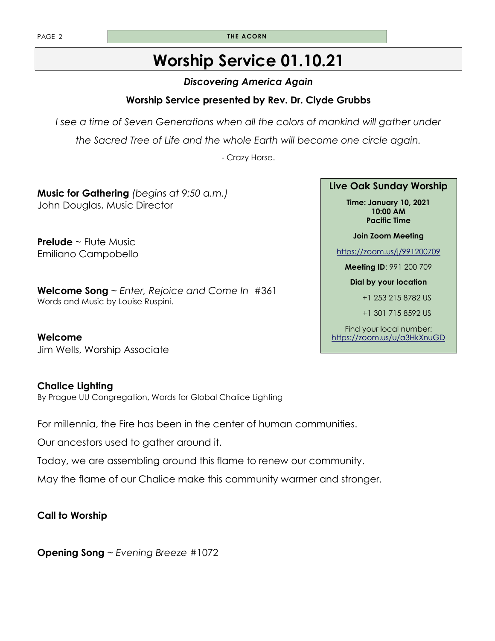PAGE 2 **THE ACORN** 

### **Worship Service 01.10.21**

### *Discovering America Again*

### **Worship Service presented by Rev. Dr. Clyde Grubbs**

*I* see a time of Seven Generations when all the colors of mankind will gather under

*the Sacred Tree of Life and the whole Earth will become one circle again.* 

- Crazy Horse.

**Music for Gathering** *(begins at 9:50 a.m.)*  John Douglas, Music Director

**Prelude** ~ Flute Music Emiliano Campobello

**Welcome Song** ~ *Enter, Rejoice and Come In* #361 Words and Music by Louise Ruspini.

**Welcome**  Jim Wells, Worship Associate

#### **Chalice Lighting**

By Prague UU Congregation, Words for Global Chalice Lighting

For millennia, the Fire has been in the center of human communities.

Our ancestors used to gather around it.

Today, we are assembling around this flame to renew our community.

May the flame of our Chalice make this community warmer and stronger.

### **Call to Worship**

**Opening Song** ~ *Evening Breeze* #1072

#### **Live Oak Sunday Worship**

**Time: January 10, 2021 10:00 AM Pacific Time** 

**Join Zoom Meeting** 

<https://zoom.us/j/991200709>

**Meeting ID**: 991 200 709

**Dial by your location** 

+1 253 215 8782 US

+1 301 715 8592 US

Find your local number: <https://zoom.us/u/a3HkXnuGD>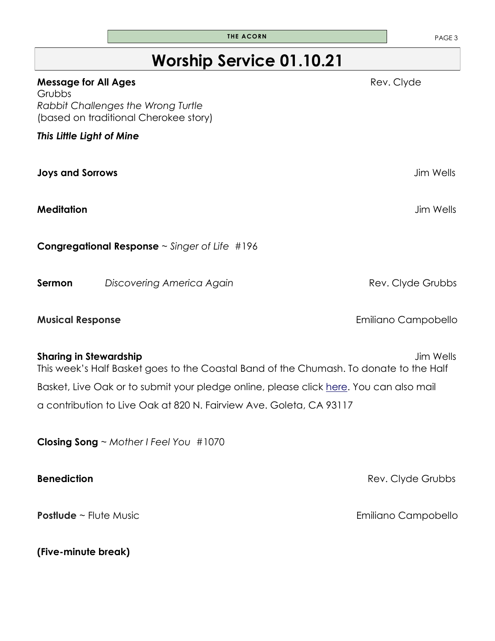### **Worship Service 01.10.21**

| <b>Message for All Ages</b><br>Grubbs                                                                                   | Rev. Clyde          |
|-------------------------------------------------------------------------------------------------------------------------|---------------------|
| Rabbit Challenges the Wrong Turtle<br>(based on traditional Cherokee story)                                             |                     |
| This Little Light of Mine                                                                                               |                     |
| <b>Joys and Sorrows</b>                                                                                                 | <b>Jim Wells</b>    |
| <b>Meditation</b>                                                                                                       | <b>Jim Wells</b>    |
| <b>Congregational Response</b> $\sim$ Singer of Life #196                                                               |                     |
| Sermon<br>Discovering America Again                                                                                     | Rev. Clyde Grubbs   |
| <b>Musical Response</b>                                                                                                 | Emiliano Campobello |
| <b>Sharing in Stewardship</b><br>This week's Half Basket goes to the Coastal Band of the Chumash. To donate to the Half | <b>Jim Wells</b>    |
| Basket, Live Oak or to submit your pledge online, please click here. You can also mail                                  |                     |
| a contribution to Live Oak at 820 N. Fairview Ave. Goleta, CA 93117                                                     |                     |
| Closing Song $\sim$ Mother I Feel You #1070                                                                             |                     |
| <b>Benediction</b>                                                                                                      | Rev. Clyde Grubbs   |
| <b>Postlude</b> ~ Flute Music                                                                                           | Emiliano Campobello |

**(Five-minute break)**

**THE ACORN PAGE 3**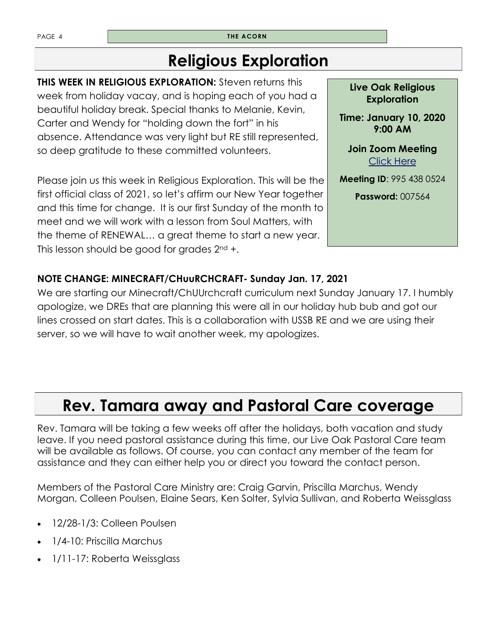PAGE 4 **THE ACORN** 

### **Religious Exploration**

**THIS WEEK IN RELIGIOUS EXPLORATION:** Steven returns this week from holiday vacay, and is hoping each of you had a beautiful holiday break. Special thanks to Melanie, Kevin, Carter and Wendy for "holding down the fort" in his absence. Attendance was very light but RE still represented, so deep gratitude to these committed volunteers.

Please join us this week in Religious Exploration. This will be the first official class of 2021, so let's affirm our New Year together and this time for change. It is our first Sunday of the month to meet and we will work with a lesson from Soul Matters, with the theme of RENEWAL… a great theme to start a new year. This lesson should be good for grades  $2^{nd}$  +.

**Live Oak Religious Exploration** 

**Time: January 10, 2020 9:00 AM** 

**Join Zoom Meeting**  [Click Here](https://zoom.us/j/9954380524?pwd=UzZORVVKbnhBamtqT2craHE0Y255UT09)

**Meeting ID**: 995 438 0524

**Password:** 007564

### **NOTE CHANGE: MINECRAFT/CHuuRCHCRAFT- Sunday Jan. 17, 2021**

We are starting our Minecraft/ChUUrchcraft curriculum next Sunday January 17. I humbly apologize, we DREs that are planning this were all in our holiday hub bub and got our lines crossed on start dates. This is a collaboration with USSB RE and we are using their server, so we will have to wait another week, my apologizes.

### **Rev. Tamara away and Pastoral Care coverage**

Rev. Tamara will be taking a few weeks off after the holidays, both vacation and study leave. If you need pastoral assistance during this time, our Live Oak Pastoral Care team will be available as follows. Of course, you can contact any member of the team for assistance and they can either help you or direct you toward the contact person.

Members of the Pastoral Care Ministry are: Craig Garvin, Priscilla Marchus, Wendy Morgan, Colleen Poulsen, Elaine Sears, Ken Solter, Sylvia Sullivan, and Roberta Weissglass

- 12/28-1/3: Colleen Poulsen
- 1/4-10: Priscilla Marchus
- 1/11-17: Roberta Weissglass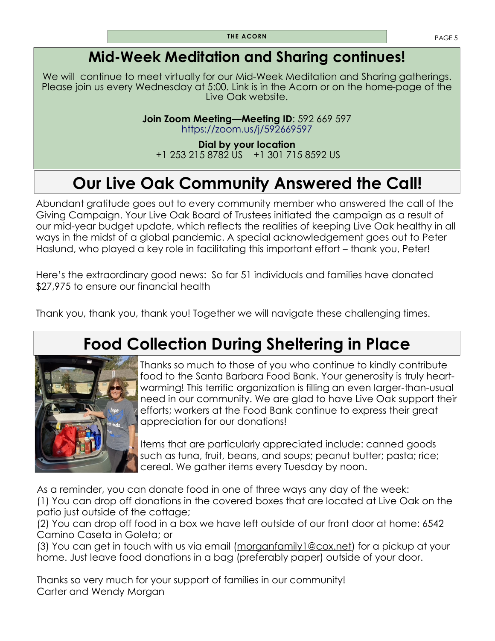### **Mid-Week Meditation and Sharing continues!**

We will continue to meet virtually for our Mid-Week Meditation and Sharing gatherings. Please join us every Wednesday at 5:00. Link is in the Acorn or on the home-page of the Live Oak website.

> **Join Zoom Meeting—Meeting ID**: 592 669 597 <https://zoom.us/j/592669597>

**Dial by your location** +1 253 215 8782 US +1 301 715 8592 US

### **Our Live Oak Community Answered the Call!**

Abundant gratitude goes out to every community member who answered the call of the Giving Campaign. Your Live Oak Board of Trustees initiated the campaign as a result of our mid-year budget update, which reflects the realities of keeping Live Oak healthy in all ways in the midst of a global pandemic. A special acknowledgement goes out to Peter Haslund, who played a key role in facilitating this important effort – thank you, Peter!

Here's the extraordinary good news: So far 51 individuals and families have donated \$27,975 to ensure our financial health

Thank you, thank you, thank you! Together we will navigate these challenging times.

### **Food Collection During Sheltering in Place**



Thanks so much to those of you who continue to kindly contribute food to the Santa Barbara Food Bank. Your generosity is truly heartwarming! This terrific organization is filling an even larger-than-usual need in our community. We are glad to have Live Oak support their efforts; workers at the Food Bank continue to express their great appreciation for our donations!

Items that are particularly appreciated include: canned goods such as tuna, fruit, beans, and soups; peanut butter; pasta; rice; cereal. We gather items every Tuesday by noon.

As a reminder, you can donate food in one of three ways any day of the week: (1) You can drop off donations in the covered boxes that are located at Live Oak on the patio just outside of the cottage;

(2) You can drop off food in a box we have left outside of our front door at home: 6542 Camino Caseta in Goleta; or

(3) You can get in touch with us via email [\(morganfamily1@cox.net\)](mailto:morganfamily1@cox.net) for a pickup at your home. Just leave food donations in a bag (preferably paper) outside of your door.

Thanks so very much for your support of families in our community! Carter and Wendy Morgan